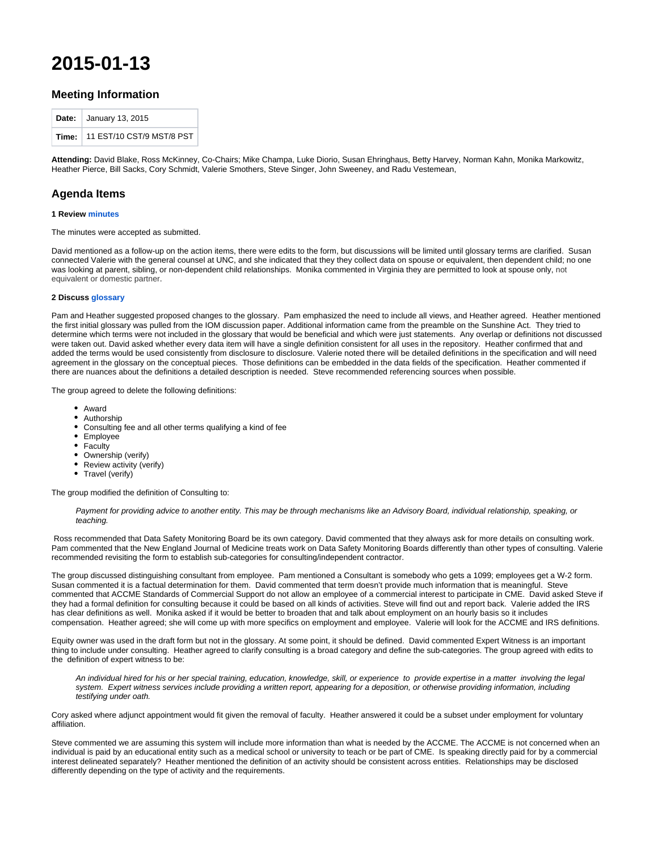# **2015-01-13**

## **Meeting Information**

| Date: $\vert$ January 13, 2015    |
|-----------------------------------|
| Time:   11 EST/10 CST/9 MST/8 PST |

**Attending:** David Blake, Ross McKinney, Co-Chairs; Mike Champa, Luke Diorio, Susan Ehringhaus, Betty Harvey, Norman Kahn, Monika Markowitz, Heather Pierce, Bill Sacks, Cory Schmidt, Valerie Smothers, Steve Singer, John Sweeney, and Radu Vestemean,

## **Agenda Items**

#### **1 Review [minutes](http://groups.medbiq.org/medbiq/display/FIN/2014-12-23)**

The minutes were accepted as submitted.

David mentioned as a follow-up on the action items, there were edits to the form, but discussions will be limited until glossary terms are clarified. Susan connected Valerie with the general counsel at UNC, and she indicated that they they collect data on spouse or equivalent, then dependent child; no one was looking at parent, sibling, or non-dependent child relationships. Monika commented in Virginia they are permitted to look at spouse only, not equivalent or domestic partner.

#### **2 Discuss [glossary](http://groups.medbiq.org/medbiq/display/FIN/Glossary)**

Pam and Heather suggested proposed changes to the glossary. Pam emphasized the need to include all views, and Heather agreed. Heather mentioned the first initial glossary was pulled from the IOM discussion paper. Additional information came from the preamble on the Sunshine Act. They tried to determine which terms were not included in the glossary that would be beneficial and which were just statements. Any overlap or definitions not discussed were taken out. David asked whether every data item will have a single definition consistent for all uses in the repository. Heather confirmed that and added the terms would be used consistently from disclosure to disclosure. Valerie noted there will be detailed definitions in the specification and will need agreement in the glossary on the conceptual pieces. Those definitions can be embedded in the data fields of the specification. Heather commented if there are nuances about the definitions a detailed description is needed. Steve recommended referencing sources when possible.

The group agreed to delete the following definitions:

- Award
- Authorship
- $\bullet$ Consulting fee and all other terms qualifying a kind of fee
- $\bullet$ Employee
- Faculty
- Ownership (verify)
- Review activity (verify)
- Travel (verify)

The group modified the definition of Consulting to:

Payment for providing advice to another entity. This may be through mechanisms like an Advisory Board, individual relationship, speaking, or teaching.

 Ross recommended that Data Safety Monitoring Board be its own category. David commented that they always ask for more details on consulting work. Pam commented that the New England Journal of Medicine treats work on Data Safety Monitoring Boards differently than other types of consulting. Valerie recommended revisiting the form to establish sub-categories for consulting/independent contractor.

The group discussed distinguishing consultant from employee. Pam mentioned a Consultant is somebody who gets a 1099; employees get a W-2 form. Susan commented it is a factual determination for them. David commented that term doesn't provide much information that is meaningful. Steve commented that ACCME Standards of Commercial Support do not allow an employee of a commercial interest to participate in CME. David asked Steve if they had a formal definition for consulting because it could be based on all kinds of activities. Steve will find out and report back. Valerie added the IRS has clear definitions as well. Monika asked if it would be better to broaden that and talk about employment on an hourly basis so it includes compensation. Heather agreed; she will come up with more specifics on employment and employee. Valerie will look for the ACCME and IRS definitions.

Equity owner was used in the draft form but not in the glossary. At some point, it should be defined. David commented Expert Witness is an important thing to include under consulting. Heather agreed to clarify consulting is a broad category and define the sub-categories. The group agreed with edits to the definition of expert witness to be:

An individual hired for his or her special training, education, knowledge, skill, or experience to provide expertise in a matter involving the legal system. Expert witness services include providing a written report, appearing for a deposition, or otherwise providing information, including testifying under oath.

Cory asked where adjunct appointment would fit given the removal of faculty. Heather answered it could be a subset under employment for voluntary affiliation.

Steve commented we are assuming this system will include more information than what is needed by the ACCME. The ACCME is not concerned when an individual is paid by an educational entity such as a medical school or university to teach or be part of CME. Is speaking directly paid for by a commercial interest delineated separately? Heather mentioned the definition of an activity should be consistent across entities. Relationships may be disclosed differently depending on the type of activity and the requirements.